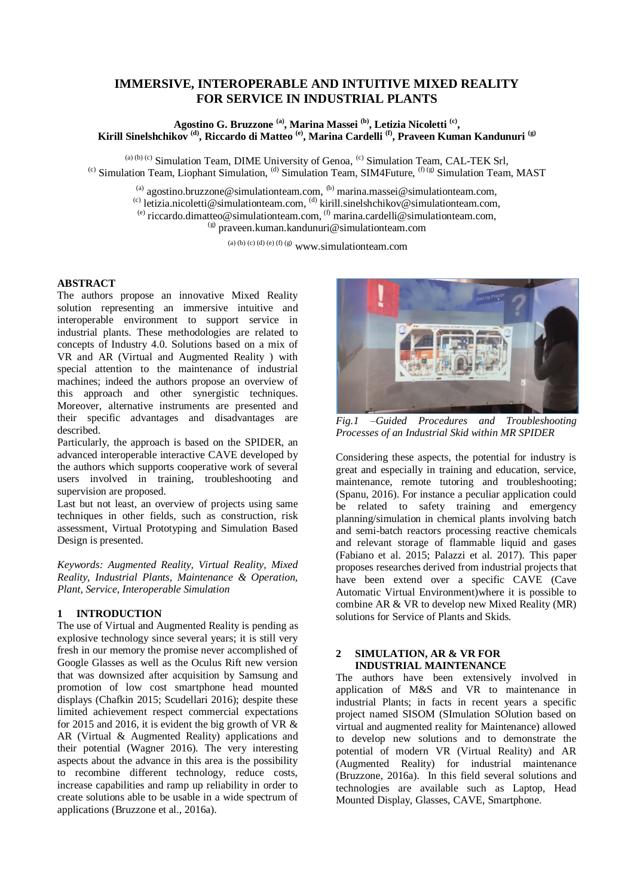# **IMMERSIVE, INTEROPERABLE AND INTUITIVE MIXED REALITY FOR SERVICE IN INDUSTRIAL PLANTS**

### **Agostino G. Bruzzone (a), Marina Massei (b) , Letizia Nicoletti (c) , Kirill Sinelshchikov (d), Riccardo di Matteo (e), Marina Cardelli (f), Praveen Kuman Kandunuri (g)**

 $(a) (b) (c)$  Simulation Team, DIME University of Genoa,  $(c)$  Simulation Team, CAL-TEK Srl, <sup>(c)</sup> Simulation Team, Liophant Simulation, <sup>(d)</sup> Simulation Team, SIM4Future,  $(f)$  (g) Simulation Team, MAST

(a) agostino.bruzzone@simulationteam.com,  $^{(b)}$  marina.massei@simulationteam.com,

<sup>(c)</sup> letizia.nicoletti@simulationteam.com,  $^{(d)}$  kirill.sinelshchikov@simulationteam.com,

(e) riccardo.dimatteo@simulationteam.com,  $(6)$  marina.cardelli@simulationteam.com,

 $^{(g)}$  praveen.kuman.kandunuri@simulationteam.com

(a) (b) (c) (d) (e) (f) (g)  $www.simulation team.com$ 

### **ABSTRACT**

The authors propose an innovative Mixed Reality solution representing an immersive intuitive and interoperable environment to support service in industrial plants. These methodologies are related to concepts of Industry 4.0. Solutions based on a mix of VR and AR (Virtual and Augmented Reality ) with special attention to the maintenance of industrial machines; indeed the authors propose an overview of this approach and other synergistic techniques. Moreover, alternative instruments are presented and their specific advantages and disadvantages are described.

Particularly, the approach is based on the SPIDER, an advanced interoperable interactive CAVE developed by the authors which supports cooperative work of several users involved in training, troubleshooting and supervision are proposed.

Last but not least, an overview of projects using same techniques in other fields, such as construction, risk assessment, Virtual Prototyping and Simulation Based Design is presented.

*Keywords: Augmented Reality, Virtual Reality, Mixed Reality, Industrial Plants, Maintenance & Operation, Plant, Service, Interoperable Simulation*

## **1 INTRODUCTION**

The use of Virtual and Augmented Reality is pending as explosive technology since several years; it is still very fresh in our memory the promise never accomplished of Google Glasses as well as the Oculus Rift new version that was downsized after acquisition by Samsung and promotion of low cost smartphone head mounted displays (Chafkin 2015; Scudellari 2016); despite these limited achievement respect commercial expectations for 2015 and 2016, it is evident the big growth of VR  $\&$ AR (Virtual & Augmented Reality) applications and their potential (Wagner 2016). The very interesting aspects about the advance in this area is the possibility to recombine different technology, reduce costs, increase capabilities and ramp up reliability in order to create solutions able to be usable in a wide spectrum of applications (Bruzzone et al., 2016a).



*Fig.1 –Guided Procedures and Troubleshooting Processes of an Industrial Skid within MR SPIDER*

Considering these aspects, the potential for industry is great and especially in training and education, service, maintenance, remote tutoring and troubleshooting; (Spanu, 2016). For instance a peculiar application could be related to safety training and emergency planning/simulation in chemical plants involving batch and semi-batch reactors processing reactive chemicals and relevant storage of flammable liquid and gases (Fabiano et al. 2015; Palazzi et al. 2017). This paper proposes researches derived from industrial projects that have been extend over a specific CAVE (Cave Automatic Virtual Environment)where it is possible to combine AR & VR to develop new Mixed Reality (MR) solutions for Service of Plants and Skids.

### **2 SIMULATION, AR & VR FOR INDUSTRIAL MAINTENANCE**

The authors have been extensively involved in application of M&S and VR to maintenance in industrial Plants; in facts in recent years a specific project named SISOM (SImulation SOlution based on virtual and augmented reality for Maintenance) allowed to develop new solutions and to demonstrate the potential of modern VR (Virtual Reality) and AR (Augmented Reality) for industrial maintenance (Bruzzone, 2016a). In this field several solutions and technologies are available such as Laptop, Head Mounted Display, Glasses, CAVE, Smartphone.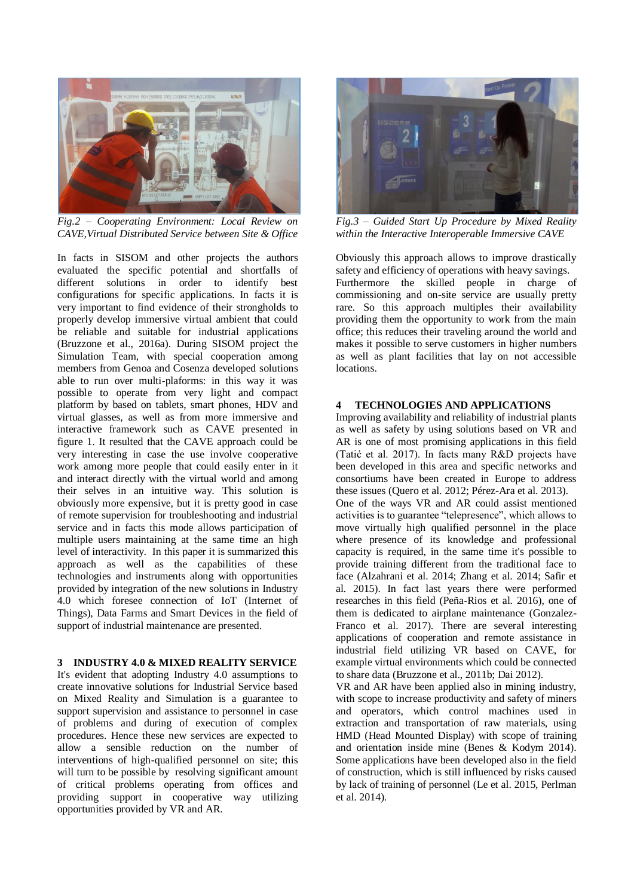

*Fig.2 – Cooperating Environment: Local Review on CAVE,Virtual Distributed Service between Site & Office*

In facts in SISOM and other projects the authors evaluated the specific potential and shortfalls of different solutions in order to identify best configurations for specific applications. In facts it is very important to find evidence of their strongholds to properly develop immersive virtual ambient that could be reliable and suitable for industrial applications (Bruzzone et al., 2016a). During SISOM project the Simulation Team, with special cooperation among members from Genoa and Cosenza developed solutions able to run over multi-plaforms: in this way it was possible to operate from very light and compact platform by based on tablets, smart phones, HDV and virtual glasses, as well as from more immersive and interactive framework such as CAVE presented in figure 1. It resulted that the CAVE approach could be very interesting in case the use involve cooperative work among more people that could easily enter in it and interact directly with the virtual world and among their selves in an intuitive way. This solution is obviously more expensive, but it is pretty good in case of remote supervision for troubleshooting and industrial service and in facts this mode allows participation of multiple users maintaining at the same time an high level of interactivity. In this paper it is summarized this approach as well as the capabilities of these technologies and instruments along with opportunities provided by integration of the new solutions in Industry 4.0 which foresee connection of IoT (Internet of Things), Data Farms and Smart Devices in the field of support of industrial maintenance are presented.

### **3 INDUSTRY 4.0 & MIXED REALITY SERVICE**

It's evident that adopting Industry 4.0 assumptions to create innovative solutions for Industrial Service based on Mixed Reality and Simulation is a guarantee to support supervision and assistance to personnel in case of problems and during of execution of complex procedures. Hence these new services are expected to allow a sensible reduction on the number of interventions of high-qualified personnel on site; this will turn to be possible by resolving significant amount of critical problems operating from offices and providing support in cooperative way utilizing opportunities provided by VR and AR.



*Fig.3 – Guided Start Up Procedure by Mixed Reality within the Interactive Interoperable Immersive CAVE*

Obviously this approach allows to improve drastically safety and efficiency of operations with heavy savings. Furthermore the skilled people in charge of commissioning and on-site service are usually pretty rare. So this approach multiples their availability providing them the opportunity to work from the main office; this reduces their traveling around the world and makes it possible to serve customers in higher numbers as well as plant facilities that lay on not accessible locations.

## **4 TECHNOLOGIES AND APPLICATIONS**

Improving availability and reliability of industrial plants as well as safety by using solutions based on VR and AR is one of most promising applications in this field (Tatić et al. 2017). In facts many R&D projects have been developed in this area and specific networks and consortiums have been created in Europe to address these issues (Quero et al. 2012; Pérez-Ara et al. 2013). One of the ways VR and AR could assist mentioned activities is to guarantee "telepresence", which allows to move virtually high qualified personnel in the place where presence of its knowledge and professional capacity is required, in the same time it's possible to provide training different from the traditional face to face (Alzahrani et al. 2014; Zhang et al. 2014; Safir et al. 2015). In fact last years there were performed researches in this field (Peña-Rios et al. 2016), one of them is dedicated to airplane maintenance (Gonzalez-Franco et al. 2017). There are several interesting applications of cooperation and remote assistance in industrial field utilizing VR based on CAVE, for example virtual environments which could be connected to share data (Bruzzone et al., 2011b; Dai 2012).

VR and AR have been applied also in mining industry, with scope to increase productivity and safety of miners and operators, which control machines used in extraction and transportation of raw materials, using HMD (Head Mounted Display) with scope of training and orientation inside mine (Benes & Kodym 2014). Some applications have been developed also in the field of construction, which is still influenced by risks caused by lack of training of personnel (Le et al. 2015, Perlman et al. 2014).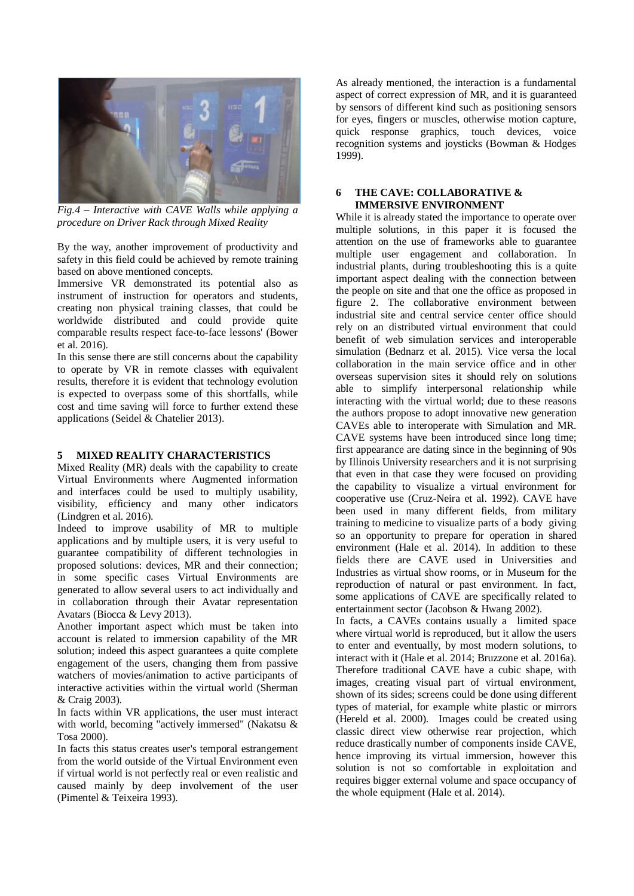

*Fig.4 – Interactive with CAVE Walls while applying a procedure on Driver Rack through Mixed Reality*

By the way, another improvement of productivity and safety in this field could be achieved by remote training based on above mentioned concepts.

Immersive VR demonstrated its potential also as instrument of instruction for operators and students, creating non physical training classes, that could be worldwide distributed and could provide quite comparable results respect face-to-face lessons' (Bower et al. 2016).

In this sense there are still concerns about the capability to operate by VR in remote classes with equivalent results, therefore it is evident that technology evolution is expected to overpass some of this shortfalls, while cost and time saving will force to further extend these applications (Seidel & Chatelier 2013).

### **5 MIXED REALITY CHARACTERISTICS**

Mixed Reality (MR) deals with the capability to create Virtual Environments where Augmented information and interfaces could be used to multiply usability, visibility, efficiency and many other indicators (Lindgren et al. 2016).

Indeed to improve usability of MR to multiple applications and by multiple users, it is very useful to guarantee compatibility of different technologies in proposed solutions: devices, MR and their connection; in some specific cases Virtual Environments are generated to allow several users to act individually and in collaboration through their Avatar representation Avatars (Biocca & Levy 2013).

Another important aspect which must be taken into account is related to immersion capability of the MR solution; indeed this aspect guarantees a quite complete engagement of the users, changing them from passive watchers of movies/animation to active participants of interactive activities within the virtual world (Sherman & Craig 2003).

In facts within VR applications, the user must interact with world, becoming "actively immersed" (Nakatsu & Tosa 2000).

In facts this status creates user's temporal estrangement from the world outside of the Virtual Environment even if virtual world is not perfectly real or even realistic and caused mainly by deep involvement of the user (Pimentel & Teixeira 1993).

As already mentioned, the interaction is a fundamental aspect of correct expression of MR, and it is guaranteed by sensors of different kind such as positioning sensors for eyes, fingers or muscles, otherwise motion capture, quick response graphics, touch devices, voice recognition systems and joysticks (Bowman & Hodges 1999).

### **6 THE CAVE: COLLABORATIVE & IMMERSIVE ENVIRONMENT**

While it is already stated the importance to operate over multiple solutions, in this paper it is focused the attention on the use of frameworks able to guarantee multiple user engagement and collaboration. In industrial plants, during troubleshooting this is a quite important aspect dealing with the connection between the people on site and that one the office as proposed in figure 2. The collaborative environment between industrial site and central service center office should rely on an distributed virtual environment that could benefit of web simulation services and interoperable simulation (Bednarz et al. 2015). Vice versa the local collaboration in the main service office and in other overseas supervision sites it should rely on solutions able to simplify interpersonal relationship while interacting with the virtual world; due to these reasons the authors propose to adopt innovative new generation CAVEs able to interoperate with Simulation and MR. CAVE systems have been introduced since long time; first appearance are dating since in the beginning of 90s by Illinois University researchers and it is not surprising that even in that case they were focused on providing the capability to visualize a virtual environment for cooperative use (Cruz-Neira et al. 1992). CAVE have been used in many different fields, from military training to medicine to visualize parts of a body giving so an opportunity to prepare for operation in shared environment (Hale et al. 2014). In addition to these fields there are CAVE used in Universities and Industries as virtual show rooms, or in Museum for the reproduction of natural or past environment. In fact, some applications of CAVE are specifically related to entertainment sector (Jacobson & Hwang 2002).

In facts, a CAVEs contains usually a limited space where virtual world is reproduced, but it allow the users to enter and eventually, by most modern solutions, to interact with it (Hale et al. 2014; Bruzzone et al. 2016a). Therefore traditional CAVE have a cubic shape, with images, creating visual part of virtual environment, shown of its sides; screens could be done using different types of material, for example white plastic or mirrors (Hereld et al. 2000). Images could be created using classic direct view otherwise rear projection, which reduce drastically number of components inside CAVE, hence improving its virtual immersion, however this solution is not so comfortable in exploitation and requires bigger external volume and space occupancy of the whole equipment (Hale et al. 2014).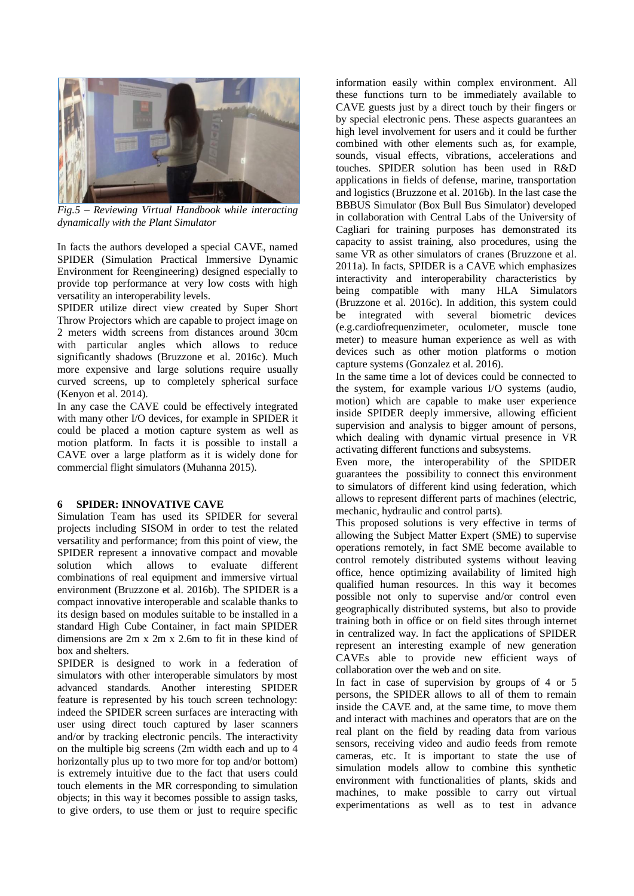

*Fig.5 – Reviewing Virtual Handbook while interacting dynamically with the Plant Simulator*

In facts the authors developed a special CAVE, named SPIDER (Simulation Practical Immersive Dynamic Environment for Reengineering) designed especially to provide top performance at very low costs with high versatility an interoperability levels.

SPIDER utilize direct view created by Super Short Throw Projectors which are capable to project image on 2 meters width screens from distances around 30cm with particular angles which allows to reduce significantly shadows (Bruzzone et al. 2016c). Much more expensive and large solutions require usually curved screens, up to completely spherical surface (Kenyon et al. 2014).

In any case the CAVE could be effectively integrated with many other I/O devices, for example in SPIDER it could be placed a motion capture system as well as motion platform. In facts it is possible to install a CAVE over a large platform as it is widely done for commercial flight simulators (Muhanna 2015).

### **6 SPIDER: INNOVATIVE CAVE**

Simulation Team has used its SPIDER for several projects including SISOM in order to test the related versatility and performance; from this point of view, the SPIDER represent a innovative compact and movable solution which allows to evaluate different combinations of real equipment and immersive virtual environment (Bruzzone et al. 2016b). The SPIDER is a compact innovative interoperable and scalable thanks to its design based on modules suitable to be installed in a standard High Cube Container, in fact main SPIDER dimensions are 2m x 2m x 2.6m to fit in these kind of box and shelters.

SPIDER is designed to work in a federation of simulators with other interoperable simulators by most advanced standards. Another interesting SPIDER feature is represented by his touch screen technology: indeed the SPIDER screen surfaces are interacting with user using direct touch captured by laser scanners and/or by tracking electronic pencils. The interactivity on the multiple big screens (2m width each and up to 4 horizontally plus up to two more for top and/or bottom) is extremely intuitive due to the fact that users could touch elements in the MR corresponding to simulation objects; in this way it becomes possible to assign tasks, to give orders, to use them or just to require specific

information easily within complex environment. All these functions turn to be immediately available to CAVE guests just by a direct touch by their fingers or by special electronic pens. These aspects guarantees an high level involvement for users and it could be further combined with other elements such as, for example, sounds, visual effects, vibrations, accelerations and touches. SPIDER solution has been used in R&D applications in fields of defense, marine, transportation and logistics (Bruzzone et al. 2016b). In the last case the BBBUS Simulator (Box Bull Bus Simulator) developed in collaboration with Central Labs of the University of Cagliari for training purposes has demonstrated its capacity to assist training, also procedures, using the same VR as other simulators of cranes (Bruzzone et al. 2011a). In facts, SPIDER is a CAVE which emphasizes interactivity and interoperability characteristics by being compatible with many HLA Simulators (Bruzzone et al. 2016c). In addition, this system could be integrated with several biometric devices (e.g.cardiofrequenzimeter, oculometer, muscle tone meter) to measure human experience as well as with devices such as other motion platforms o motion capture systems (Gonzalez et al. 2016).

In the same time a lot of devices could be connected to the system, for example various I/O systems (audio, motion) which are capable to make user experience inside SPIDER deeply immersive, allowing efficient supervision and analysis to bigger amount of persons, which dealing with dynamic virtual presence in VR activating different functions and subsystems.

Even more, the interoperability of the SPIDER guarantees the possibility to connect this environment to simulators of different kind using federation, which allows to represent different parts of machines (electric, mechanic, hydraulic and control parts).

This proposed solutions is very effective in terms of allowing the Subject Matter Expert (SME) to supervise operations remotely, in fact SME become available to control remotely distributed systems without leaving office, hence optimizing availability of limited high qualified human resources. In this way it becomes possible not only to supervise and/or control even geographically distributed systems, but also to provide training both in office or on field sites through internet in centralized way. In fact the applications of SPIDER represent an interesting example of new generation CAVEs able to provide new efficient ways of collaboration over the web and on site.

In fact in case of supervision by groups of 4 or 5 persons, the SPIDER allows to all of them to remain inside the CAVE and, at the same time, to move them and interact with machines and operators that are on the real plant on the field by reading data from various sensors, receiving video and audio feeds from remote cameras, etc. It is important to state the use of simulation models allow to combine this synthetic environment with functionalities of plants, skids and machines, to make possible to carry out virtual experimentations as well as to test in advance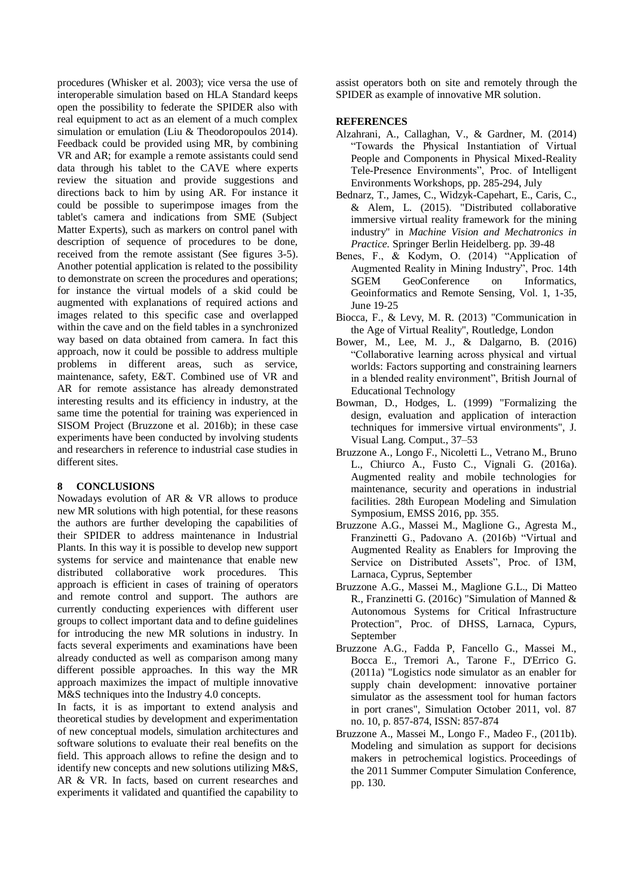procedures (Whisker et al. 2003); vice versa the use of interoperable simulation based on HLA Standard keeps open the possibility to federate the SPIDER also with real equipment to act as an element of a much complex simulation or emulation (Liu & Theodoropoulos 2014). Feedback could be provided using MR, by combining VR and AR; for example a remote assistants could send data through his tablet to the CAVE where experts review the situation and provide suggestions and directions back to him by using AR. For instance it could be possible to superimpose images from the tablet's camera and indications from SME (Subject Matter Experts), such as markers on control panel with description of sequence of procedures to be done, received from the remote assistant (See figures 3-5). Another potential application is related to the possibility to demonstrate on screen the procedures and operations; for instance the virtual models of a skid could be augmented with explanations of required actions and images related to this specific case and overlapped within the cave and on the field tables in a synchronized way based on data obtained from camera. In fact this approach, now it could be possible to address multiple problems in different areas, such as service, maintenance, safety, E&T. Combined use of VR and AR for remote assistance has already demonstrated interesting results and its efficiency in industry, at the same time the potential for training was experienced in SISOM Project (Bruzzone et al. 2016b); in these case experiments have been conducted by involving students and researchers in reference to industrial case studies in different sites.

### **8 CONCLUSIONS**

Nowadays evolution of AR & VR allows to produce new MR solutions with high potential, for these reasons the authors are further developing the capabilities of their SPIDER to address maintenance in Industrial Plants. In this way it is possible to develop new support systems for service and maintenance that enable new distributed collaborative work procedures. This approach is efficient in cases of training of operators and remote control and support. The authors are currently conducting experiences with different user groups to collect important data and to define guidelines for introducing the new MR solutions in industry. In facts several experiments and examinations have been already conducted as well as comparison among many different possible approaches. In this way the MR approach maximizes the impact of multiple innovative M&S techniques into the Industry 4.0 concepts.

In facts, it is as important to extend analysis and theoretical studies by development and experimentation of new conceptual models, simulation architectures and software solutions to evaluate their real benefits on the field. This approach allows to refine the design and to identify new concepts and new solutions utilizing M&S, AR & VR. In facts, based on current researches and experiments it validated and quantified the capability to

assist operators both on site and remotely through the SPIDER as example of innovative MR solution.

#### **REFERENCES**

- Alzahrani, A., Callaghan, V., & Gardner, M. (2014) "Towards the Physical Instantiation of Virtual People and Components in Physical Mixed-Reality Tele-Presence Environments", Proc. of Intelligent Environments Workshops, pp. 285-294, July
- Bednarz, T., James, C., Widzyk-Capehart, E., Caris, C., & Alem, L. (2015). "Distributed collaborative immersive virtual reality framework for the mining industry" in *Machine Vision and Mechatronics in Practice.* Springer Berlin Heidelberg. pp. 39-48
- Benes, F., & Kodym, O. (2014) "Application of Augmented Reality in Mining Industry", Proc. 14th SGEM GeoConference on Informatics, Geoinformatics and Remote Sensing, Vol. 1, 1-35, June 19-25
- Biocca, F., & Levy, M. R. (2013) "Communication in the Age of Virtual Reality", Routledge, London
- Bower, M., Lee, M. J., & Dalgarno, B. (2016) "Collaborative learning across physical and virtual worlds: Factors supporting and constraining learners in a blended reality environment", British Journal of Educational Technology
- Bowman, D., Hodges, L. (1999) "Formalizing the design, evaluation and application of interaction techniques for immersive virtual environments", J. Visual Lang. Comput., 37–53
- Bruzzone A., Longo F., Nicoletti L., Vetrano M., Bruno L., Chiurco A., Fusto C., Vignali G. (2016a). Augmented reality and mobile technologies for maintenance, security and operations in industrial facilities. 28th European Modeling and Simulation Symposium, EMSS 2016, pp. 355.
- Bruzzone A.G., Massei M., Maglione G., Agresta M., Franzinetti G., Padovano A. (2016b) "Virtual and Augmented Reality as Enablers for Improving the Service on Distributed Assets", Proc. of I3M, Larnaca, Cyprus, September
- Bruzzone A.G., Massei M., Maglione G.L., Di Matteo R., Franzinetti G. (2016c) "Simulation of Manned & Autonomous Systems for Critical Infrastructure Protection", Proc. of DHSS, Larnaca, Cypurs, September
- Bruzzone A.G., Fadda P, Fancello G., Massei M., Bocca E., Tremori A., Tarone F., D'Errico G. (2011a) "Logistics node simulator as an enabler for supply chain development: innovative portainer simulator as the assessment tool for human factors in port cranes", Simulation October 2011, vol. 87 no. 10, p. 857-874, ISSN: 857-874
- Bruzzone A., Massei M., Longo F., Madeo F., (2011b). Modeling and simulation as support for decisions makers in petrochemical logistics. Proceedings of the 2011 Summer Computer Simulation Conference, pp. 130.